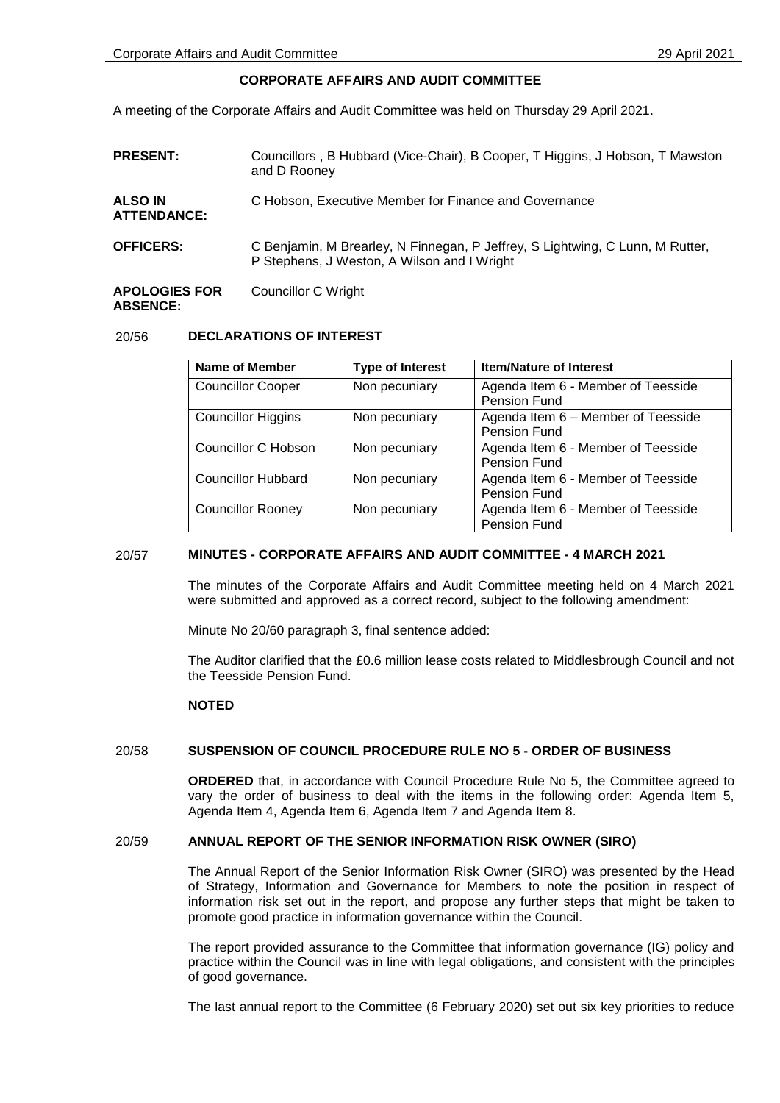# **CORPORATE AFFAIRS AND AUDIT COMMITTEE**

A meeting of the Corporate Affairs and Audit Committee was held on Thursday 29 April 2021.

| <b>PRESENT:</b>                      | Councillors, B Hubbard (Vice-Chair), B Cooper, T Higgins, J Hobson, T Mawston<br>and D Rooney                                |
|--------------------------------------|------------------------------------------------------------------------------------------------------------------------------|
| <b>ALSO IN</b><br><b>ATTENDANCE:</b> | C Hobson, Executive Member for Finance and Governance                                                                        |
| <b>OFFICERS:</b>                     | C Benjamin, M Brearley, N Finnegan, P Jeffrey, S Lightwing, C Lunn, M Rutter,<br>P Stephens, J Weston, A Wilson and I Wright |
| <b>APOLOGIES FOR</b>                 | Councillor C Wright                                                                                                          |

# **ABSENCE:**

# 20/56 **DECLARATIONS OF INTEREST**

| Name of Member            | <b>Type of Interest</b> | <b>Item/Nature of Interest</b>                     |
|---------------------------|-------------------------|----------------------------------------------------|
| <b>Councillor Cooper</b>  | Non pecuniary           | Agenda Item 6 - Member of Teesside<br>Pension Fund |
|                           |                         |                                                    |
| <b>Councillor Higgins</b> | Non pecuniary           | Agenda Item 6 - Member of Teesside                 |
|                           |                         | Pension Fund                                       |
| Councillor C Hobson       | Non pecuniary           | Agenda Item 6 - Member of Teesside                 |
|                           |                         | <b>Pension Fund</b>                                |
| <b>Councillor Hubbard</b> | Non pecuniary           | Agenda Item 6 - Member of Teesside                 |
|                           |                         | Pension Fund                                       |
| <b>Councillor Rooney</b>  | Non pecuniary           | Agenda Item 6 - Member of Teesside                 |
|                           |                         | Pension Fund                                       |

# 20/57 **MINUTES - CORPORATE AFFAIRS AND AUDIT COMMITTEE - 4 MARCH 2021**

The minutes of the Corporate Affairs and Audit Committee meeting held on 4 March 2021 were submitted and approved as a correct record, subject to the following amendment:

Minute No 20/60 paragraph 3, final sentence added:

The Auditor clarified that the £0.6 million lease costs related to Middlesbrough Council and not the Teesside Pension Fund.

# **NOTED**

# 20/58 **SUSPENSION OF COUNCIL PROCEDURE RULE NO 5 - ORDER OF BUSINESS**

**ORDERED** that, in accordance with Council Procedure Rule No 5, the Committee agreed to vary the order of business to deal with the items in the following order: Agenda Item 5, Agenda Item 4, Agenda Item 6, Agenda Item 7 and Agenda Item 8.

# 20/59 **ANNUAL REPORT OF THE SENIOR INFORMATION RISK OWNER (SIRO)**

The Annual Report of the Senior Information Risk Owner (SIRO) was presented by the Head of Strategy, Information and Governance for Members to note the position in respect of information risk set out in the report, and propose any further steps that might be taken to promote good practice in information governance within the Council.

The report provided assurance to the Committee that information governance (IG) policy and practice within the Council was in line with legal obligations, and consistent with the principles of good governance.

The last annual report to the Committee (6 February 2020) set out six key priorities to reduce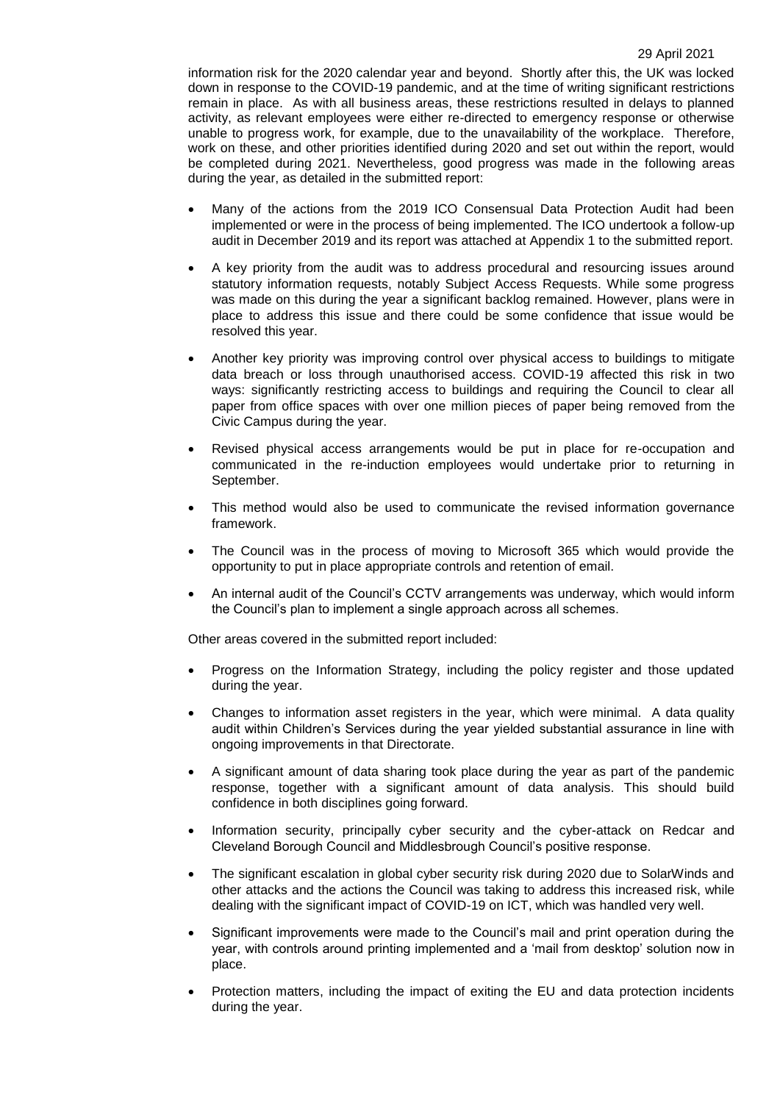information risk for the 2020 calendar year and beyond. Shortly after this, the UK was locked down in response to the COVID-19 pandemic, and at the time of writing significant restrictions remain in place. As with all business areas, these restrictions resulted in delays to planned activity, as relevant employees were either re-directed to emergency response or otherwise unable to progress work, for example, due to the unavailability of the workplace. Therefore, work on these, and other priorities identified during 2020 and set out within the report, would be completed during 2021. Nevertheless, good progress was made in the following areas during the year, as detailed in the submitted report:

- Many of the actions from the 2019 ICO Consensual Data Protection Audit had been implemented or were in the process of being implemented. The ICO undertook a follow-up audit in December 2019 and its report was attached at Appendix 1 to the submitted report.
- A key priority from the audit was to address procedural and resourcing issues around statutory information requests, notably Subject Access Requests. While some progress was made on this during the year a significant backlog remained. However, plans were in place to address this issue and there could be some confidence that issue would be resolved this year.
- Another key priority was improving control over physical access to buildings to mitigate data breach or loss through unauthorised access. COVID-19 affected this risk in two ways: significantly restricting access to buildings and requiring the Council to clear all paper from office spaces with over one million pieces of paper being removed from the Civic Campus during the year.
- Revised physical access arrangements would be put in place for re-occupation and communicated in the re-induction employees would undertake prior to returning in September.
- This method would also be used to communicate the revised information governance framework.
- The Council was in the process of moving to Microsoft 365 which would provide the opportunity to put in place appropriate controls and retention of email.
- An internal audit of the Council's CCTV arrangements was underway, which would inform the Council's plan to implement a single approach across all schemes.

Other areas covered in the submitted report included:

- Progress on the Information Strategy, including the policy register and those updated during the year.
- Changes to information asset registers in the year, which were minimal. A data quality audit within Children's Services during the year yielded substantial assurance in line with ongoing improvements in that Directorate.
- A significant amount of data sharing took place during the year as part of the pandemic response, together with a significant amount of data analysis. This should build confidence in both disciplines going forward.
- Information security, principally cyber security and the cyber-attack on Redcar and Cleveland Borough Council and Middlesbrough Council's positive response.
- The significant escalation in global cyber security risk during 2020 due to SolarWinds and other attacks and the actions the Council was taking to address this increased risk, while dealing with the significant impact of COVID-19 on ICT, which was handled very well.
- Significant improvements were made to the Council's mail and print operation during the year, with controls around printing implemented and a 'mail from desktop' solution now in place.
- Protection matters, including the impact of exiting the EU and data protection incidents during the year.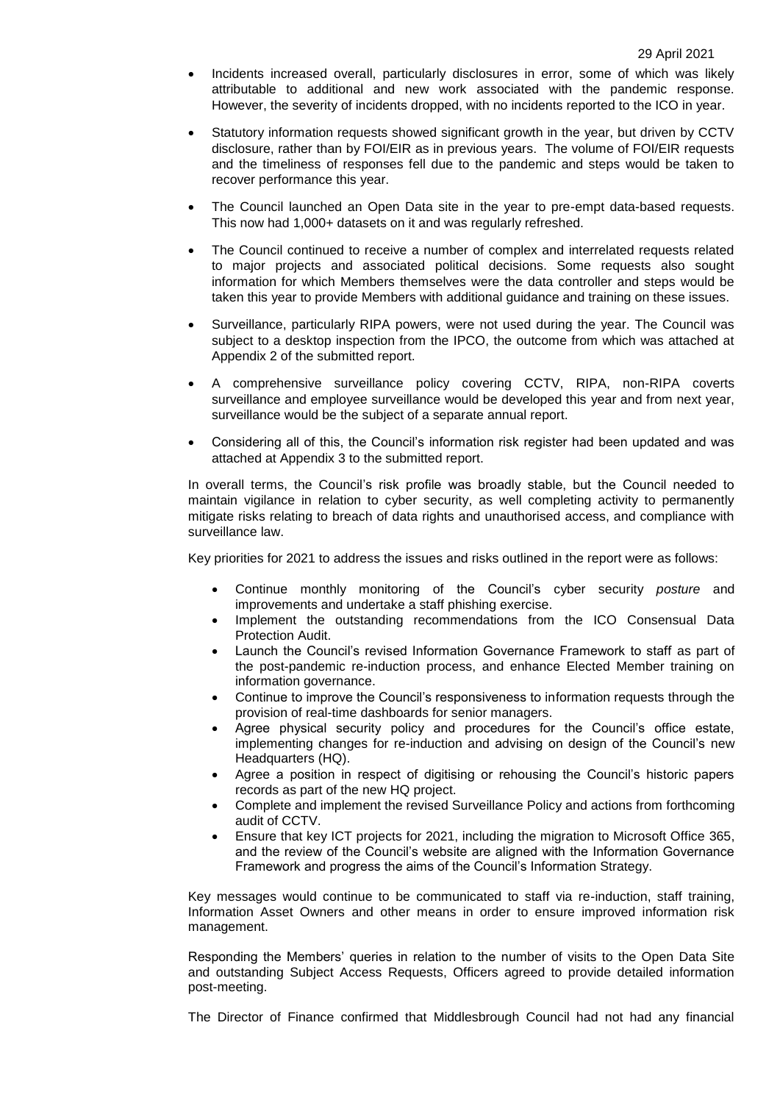- Incidents increased overall, particularly disclosures in error, some of which was likely attributable to additional and new work associated with the pandemic response. However, the severity of incidents dropped, with no incidents reported to the ICO in year.
- Statutory information requests showed significant growth in the year, but driven by CCTV disclosure, rather than by FOI/EIR as in previous years. The volume of FOI/EIR requests and the timeliness of responses fell due to the pandemic and steps would be taken to recover performance this year.
- The Council launched an Open Data site in the year to pre-empt data-based requests. This now had 1,000+ datasets on it and was regularly refreshed.
- The Council continued to receive a number of complex and interrelated requests related to major projects and associated political decisions. Some requests also sought information for which Members themselves were the data controller and steps would be taken this year to provide Members with additional guidance and training on these issues.
- Surveillance, particularly RIPA powers, were not used during the year. The Council was subject to a desktop inspection from the IPCO, the outcome from which was attached at Appendix 2 of the submitted report.
- A comprehensive surveillance policy covering CCTV, RIPA, non-RIPA coverts surveillance and employee surveillance would be developed this year and from next year, surveillance would be the subject of a separate annual report.
- Considering all of this, the Council's information risk register had been updated and was attached at Appendix 3 to the submitted report.

In overall terms, the Council's risk profile was broadly stable, but the Council needed to maintain vigilance in relation to cyber security, as well completing activity to permanently mitigate risks relating to breach of data rights and unauthorised access, and compliance with surveillance law.

Key priorities for 2021 to address the issues and risks outlined in the report were as follows:

- Continue monthly monitoring of the Council's cyber security *posture* and improvements and undertake a staff phishing exercise.
- Implement the outstanding recommendations from the ICO Consensual Data Protection Audit.
- Launch the Council's revised Information Governance Framework to staff as part of the post-pandemic re-induction process, and enhance Elected Member training on information governance.
- Continue to improve the Council's responsiveness to information requests through the provision of real-time dashboards for senior managers.
- Agree physical security policy and procedures for the Council's office estate, implementing changes for re-induction and advising on design of the Council's new Headquarters (HQ).
- Agree a position in respect of digitising or rehousing the Council's historic papers records as part of the new HQ project.
- Complete and implement the revised Surveillance Policy and actions from forthcoming audit of CCTV.
- Ensure that key ICT projects for 2021, including the migration to Microsoft Office 365, and the review of the Council's website are aligned with the Information Governance Framework and progress the aims of the Council's Information Strategy.

Key messages would continue to be communicated to staff via re-induction, staff training, Information Asset Owners and other means in order to ensure improved information risk management.

Responding the Members' queries in relation to the number of visits to the Open Data Site and outstanding Subject Access Requests, Officers agreed to provide detailed information post-meeting.

The Director of Finance confirmed that Middlesbrough Council had not had any financial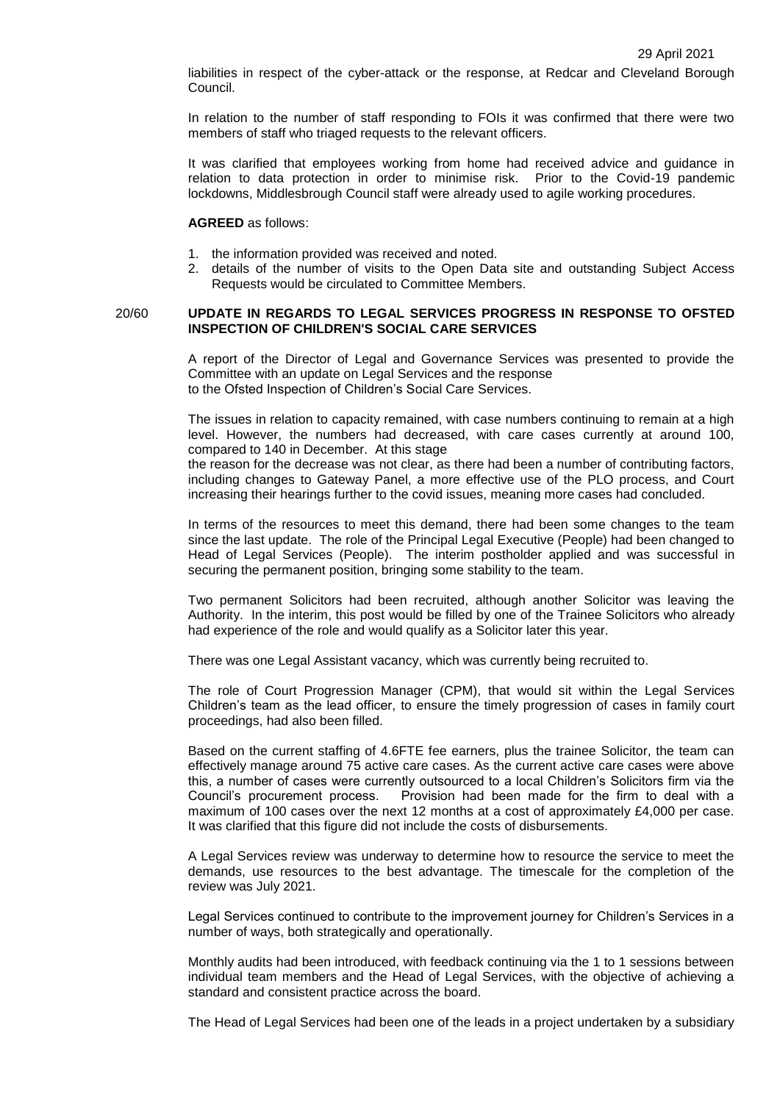liabilities in respect of the cyber-attack or the response, at Redcar and Cleveland Borough Council.

In relation to the number of staff responding to FOIs it was confirmed that there were two members of staff who triaged requests to the relevant officers.

It was clarified that employees working from home had received advice and guidance in relation to data protection in order to minimise risk. Prior to the Covid-19 pandemic lockdowns, Middlesbrough Council staff were already used to agile working procedures.

#### **AGREED** as follows:

- 1. the information provided was received and noted.
- 2. details of the number of visits to the Open Data site and outstanding Subject Access Requests would be circulated to Committee Members.

#### 20/60 **UPDATE IN REGARDS TO LEGAL SERVICES PROGRESS IN RESPONSE TO OFSTED INSPECTION OF CHILDREN'S SOCIAL CARE SERVICES**

A report of the Director of Legal and Governance Services was presented to provide the Committee with an update on Legal Services and the response to the Ofsted Inspection of Children's Social Care Services.

The issues in relation to capacity remained, with case numbers continuing to remain at a high level. However, the numbers had decreased, with care cases currently at around 100, compared to 140 in December. At this stage

the reason for the decrease was not clear, as there had been a number of contributing factors, including changes to Gateway Panel, a more effective use of the PLO process, and Court increasing their hearings further to the covid issues, meaning more cases had concluded.

In terms of the resources to meet this demand, there had been some changes to the team since the last update. The role of the Principal Legal Executive (People) had been changed to Head of Legal Services (People). The interim postholder applied and was successful in securing the permanent position, bringing some stability to the team.

Two permanent Solicitors had been recruited, although another Solicitor was leaving the Authority. In the interim, this post would be filled by one of the Trainee Solicitors who already had experience of the role and would qualify as a Solicitor later this year.

There was one Legal Assistant vacancy, which was currently being recruited to.

The role of Court Progression Manager (CPM), that would sit within the Legal Services Children's team as the lead officer, to ensure the timely progression of cases in family court proceedings, had also been filled.

Based on the current staffing of 4.6FTE fee earners, plus the trainee Solicitor, the team can effectively manage around 75 active care cases. As the current active care cases were above this, a number of cases were currently outsourced to a local Children's Solicitors firm via the Council's procurement process. Provision had been made for the firm to deal with a maximum of 100 cases over the next 12 months at a cost of approximately £4,000 per case. It was clarified that this figure did not include the costs of disbursements.

A Legal Services review was underway to determine how to resource the service to meet the demands, use resources to the best advantage. The timescale for the completion of the review was July 2021.

Legal Services continued to contribute to the improvement journey for Children's Services in a number of ways, both strategically and operationally.

Monthly audits had been introduced, with feedback continuing via the 1 to 1 sessions between individual team members and the Head of Legal Services, with the objective of achieving a standard and consistent practice across the board.

The Head of Legal Services had been one of the leads in a project undertaken by a subsidiary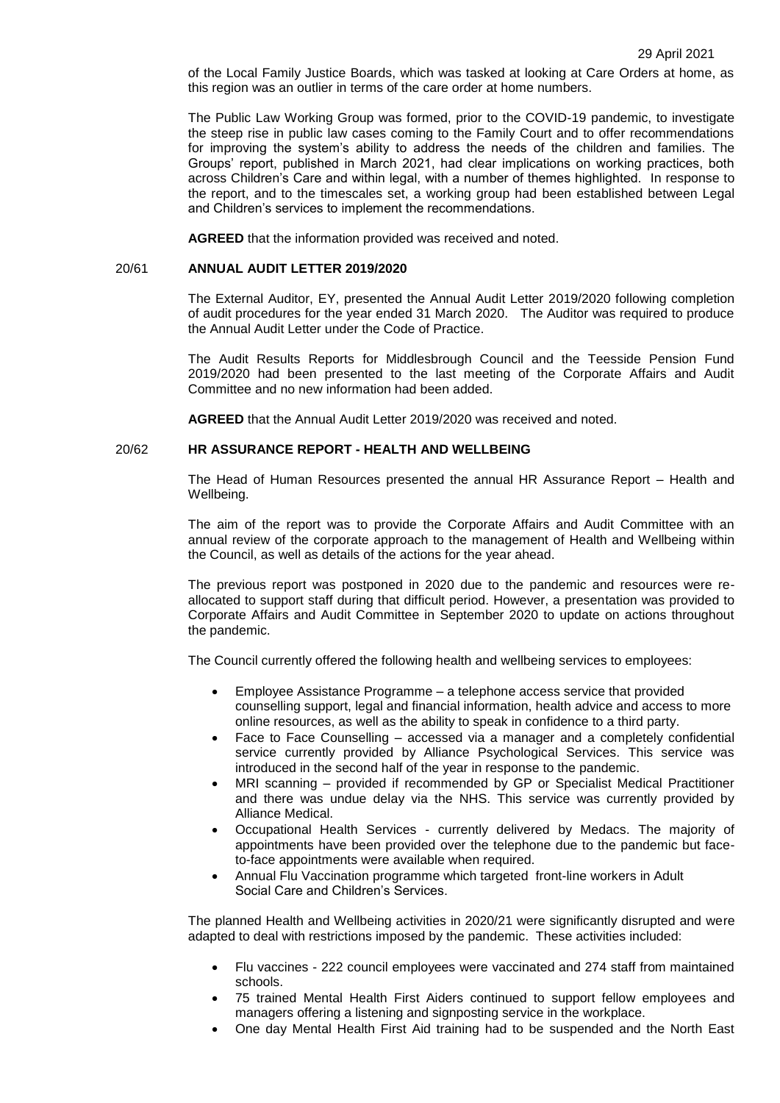of the Local Family Justice Boards, which was tasked at looking at Care Orders at home, as this region was an outlier in terms of the care order at home numbers.

The Public Law Working Group was formed, prior to the COVID-19 pandemic, to investigate the steep rise in public law cases coming to the Family Court and to offer recommendations for improving the system's ability to address the needs of the children and families. The Groups' report, published in March 2021, had clear implications on working practices, both across Children's Care and within legal, with a number of themes highlighted. In response to the report, and to the timescales set, a working group had been established between Legal and Children's services to implement the recommendations.

**AGREED** that the information provided was received and noted.

#### 20/61 **ANNUAL AUDIT LETTER 2019/2020**

The External Auditor, EY, presented the Annual Audit Letter 2019/2020 following completion of audit procedures for the year ended 31 March 2020. The Auditor was required to produce the Annual Audit Letter under the Code of Practice.

The Audit Results Reports for Middlesbrough Council and the Teesside Pension Fund 2019/2020 had been presented to the last meeting of the Corporate Affairs and Audit Committee and no new information had been added.

**AGREED** that the Annual Audit Letter 2019/2020 was received and noted.

#### 20/62 **HR ASSURANCE REPORT - HEALTH AND WELLBEING**

The Head of Human Resources presented the annual HR Assurance Report – Health and Wellbeing.

The aim of the report was to provide the Corporate Affairs and Audit Committee with an annual review of the corporate approach to the management of Health and Wellbeing within the Council, as well as details of the actions for the year ahead.

The previous report was postponed in 2020 due to the pandemic and resources were reallocated to support staff during that difficult period. However, a presentation was provided to Corporate Affairs and Audit Committee in September 2020 to update on actions throughout the pandemic.

The Council currently offered the following health and wellbeing services to employees:

- Employee Assistance Programme a telephone access service that provided counselling support, legal and financial information, health advice and access to more online resources, as well as the ability to speak in confidence to a third party.
- Face to Face Counselling accessed via a manager and a completely confidential service currently provided by Alliance Psychological Services. This service was introduced in the second half of the year in response to the pandemic.
- MRI scanning provided if recommended by GP or Specialist Medical Practitioner and there was undue delay via the NHS. This service was currently provided by Alliance Medical.
- Occupational Health Services currently delivered by Medacs. The majority of appointments have been provided over the telephone due to the pandemic but faceto-face appointments were available when required.
- Annual Flu Vaccination programme which targeted front-line workers in Adult Social Care and Children's Services.

The planned Health and Wellbeing activities in 2020/21 were significantly disrupted and were adapted to deal with restrictions imposed by the pandemic. These activities included:

- Flu vaccines 222 council employees were vaccinated and 274 staff from maintained schools.
- 75 trained Mental Health First Aiders continued to support fellow employees and managers offering a listening and signposting service in the workplace.
- One day Mental Health First Aid training had to be suspended and the North East